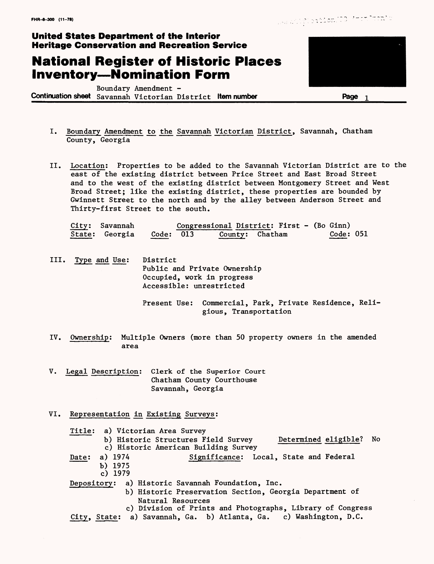## **National Register of Historic Places Inventory—Nomination Form**

Boundary Amendment - **Continuation sheet** Savannah Victorian District **Item number Rage** 1



- I. Boundary Amendment to the Savannah Victorian District, Savannah, Chatham County, Georgia
- II. Location; Properties to be added to the Savannah Victorian District are to the east of the existing district between Price Street and East Broad Street and to the west of the existing district between Montgomery Street and West Broad Street; like the existing district, these properties are bounded by Gwinnett Street to the north and by the alley between Anderson Street and Thirty-first Street to the south.

| City: Savannah |           | Congressional District: First - (Bo Ginn) |                 |           |
|----------------|-----------|-------------------------------------------|-----------------|-----------|
| State: Georgia | Code: 013 |                                           | County: Chatham | Code: 051 |

III. Type and Use: District Public and Private Ownership Occupied, work in progress Accessible: unrestricted

> Present Use: Commercial, Park, Private Residence, Religious, Transportation

- IV. Ownership: Multiple Owners (more than 50 property owners in the amended area
- V. Legal Description; Clerk of the Superior Court Chatham County Courthouse Savannah, Georgia
- VI. Representation in Existing Surveys;

Title; a) Victorian Area Survey b) Historic Structures Field Survey Determined eligible? No c) Historic American Building Survey Date: a) 1974 Significance: Local, State and Federal b) 1975 c) 1979 Depository; a) Historic Savannah Foundation, Inc. b) Historic Preservation Section, Georgia Department of Natural Resources

c) Division of Prints and Photographs, Library of Congress City, State; a) Savannah, Ga. b) Atlanta, Ga. c) Washington, D.C.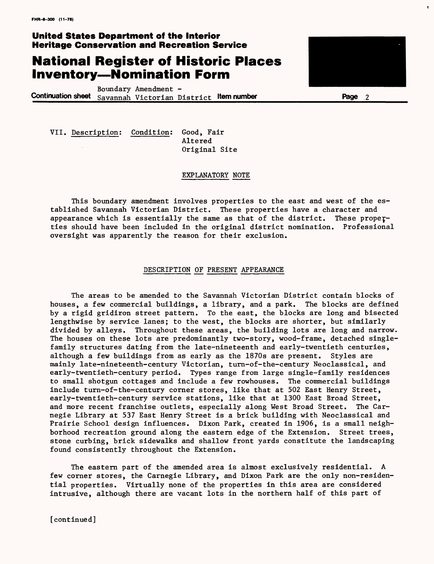### **National Register of Historic Places Inventory—Nomination Form**

Boundary Amendment - **Continuation sheet** savannah Victorian District **Item number Page 2**

VII. Description; Condition; Good, Fair

Altered Original Site

#### EXPLANATORY NOTE

This boundary amendment involves properties to the east and west of the established Savannah Victorian District. These properties have a character and appearance which is essentially the same as that of the district. These properties should have been included in the original district nomination. Professional oversight was apparently the reason for their exclusion.

#### DESCRIPTION OF PRESENT APPEARANCE

The areas to be amended to the Savannah Victorian District contain blocks of houses, a few commercial buildings, a library, and a park. The blocks are defined by a rigid gridiron street pattern. To the east, the blocks are long and bisected lengthwise by service lanes; to the west, the blocks are shorter, but similarly divided by alleys. Throughout these areas, the building lots are long and narrow. The houses on these lots are predominantly two-story, wood-frame, detached singlefamily structures dating from the late-nineteenth and early-twentieth centuries, although a few buildings from as early as the 1870s are present. Styles are mainly late-nineteenth-century Victorian, turn-of-the-century Neoclassical, and early-twentieth-century period. Types range from large single-family residences to small shotgun cottages and include a few rowhouses. The commercial buildings include turn-of-the-century corner stores, like that at 502 East Henry Street, early-twentieth-century service stations, like that at 1300 East Broad Street, and more recent franchise outlets, especially along West Broad Street. The Carnegie Library at 537 East Henry Street is a brick building with Neoclassical and Prairie School design influences. Dixon Park, created in 1906, is a small neighborhood recreation ground along the eastern edge of the Extension. Street trees, stone curbing, brick sidewalks and shallow front yards constitute the landscaping found consistently throughout the Extension.

The eastern part of the amended area is almost exclusively residential. A few corner stores, the Carnegie Library, and Dixon Park are the only non-residential properties. Virtually none of the properties in this area are considered intrusive, although there are vacant lots in the northern half of this part of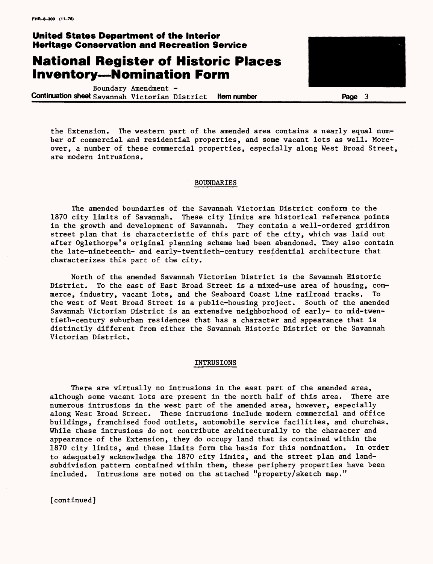### **National Register of Historic Places Inventory—Nomination Form**

Boundary Amendment - **Continuation sheet savannah** Victorian District **Item number Page 3**

the Extension. The western part of the amended area contains a nearly equal number of commercial and residential properties, and some vacant lots as well. Moreover, a number of these commercial properties, especially along West Broad Street, are modern intrusions.

#### BOUNDARIES

The amended boundaries of the Savannah Victorian District conform to the 1870 city limits of Savannah. These city limits are historical reference points in the growth and development of Savannah. They contain a well-ordered gridiron street plan that is characteristic of this part of the city, which was laid out after Oglethorpe's original planning scheme had been abandoned. They also contain the late-nineteenth- and early-twentieth-century residential architecture that characterizes this part of the city.

North of the amended Savannah Victorian District is the Savannah Historic District. To the east of East Broad Street is a mixed-use area of housing, commerce, industry, vacant lots, and the Seaboard Coast Line railroad tracks. To the west of West Broad Street is a public-housing project. South of the amended Savannah Victorian District is an extensive neighborhood of early- to mid-twentieth-century suburban residences that has a character and appearance that is distinctly different from either the Savannah Historic District or the Savannah Victorian District.

#### INTRUSIONS

There are virtually no intrusions in the east part of the amended area, although some vacant lots are present in the north half of this area. There are numerous intrusions in the west part of the amended area, however, especially along West Broad Street. These intrusions include modern commercial and office buildings, franchised food outlets, automobile service facilities, and churches. While these intrusions do not contribute architecturally to the character and appearance of the Extension, they do occupy land that is contained within the 1870 city limits, and these limits form the basis for this nomination. In order to adequately acknowledge the 1870 city limits, and the street plan and landsubdivision pattern contained within them, these periphery properties have been included. Intrusions are noted on the attached "property/sketch map."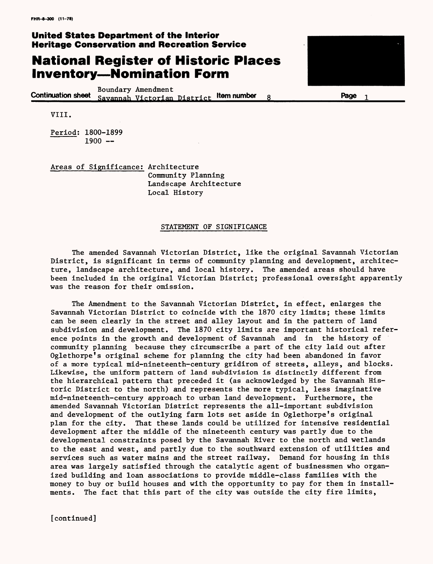## **National Register of Historic Places Inventory—Nomination Form**

Boundary Amendment **Continuation sheet** Savannah Victorian District **'tern number 8\_\_\_\_\_\_\_\_\_\_\_Page**



 $\mathbf{1}$ 

VIII.

Period; 1800-1899  $1900 -$ 

Areas of Significance: Architecture Community Planning Landscape Architecture Local History

#### STATEMENT OF SIGNIFICANCE

The amended Savannah Victorian District, like the original Savannah Victorian District, is significant in terms of community planning and development, architecture, landscape architecture, and local history. The amended areas should have been included in the original Victorian District; professional oversight apparently was the reason for their omission.

The Amendment to the Savannah Victorian District, in effect, enlarges the Savannah Victorian District to coincide with the 1870 city limits; these limits can be seen clearly in the street and alley layout and in the pattern of land subdivision and development. The 1870 city limits are important historical reference points in the growth and development of Savannah and in the history of community planning because they circumscribe a part of the city laid out after Oglethorpe's original scheme for planning the city had been abandoned in favor of a more typical mid-nineteenth-century gridiron of streets, alleys, and blocks. Likewise, the uniform pattern of land subdivision is distinctly different from the hierarchical pattern that preceded it (as acknowledged by the Savannah Historic District to the north) and represents the more typical, less imaginative mid-nineteenth-century approach to urban land development. Furthermore, the amended Savannah Victorian District represents the all-important subdivision and development of the outlying farm lots set aside in Oglethorpe's original plan for the city. That these lands could be utilized for intensive residential development after the middle of the nineteenth century was partly due to the developmental constraints posed by the Savannah River to the north and wetlands to the east and west, and partly due to the southward extension of utilities and services such as water mains and the street railway. Demand for housing in this area was largely satisfied through the catalytic agent of businessmen who organized building and loan associations to provide middle-class families with the money to buy or build houses and with the opportunity to pay for them in installments. The fact that this part of the city was outside the city fire limits,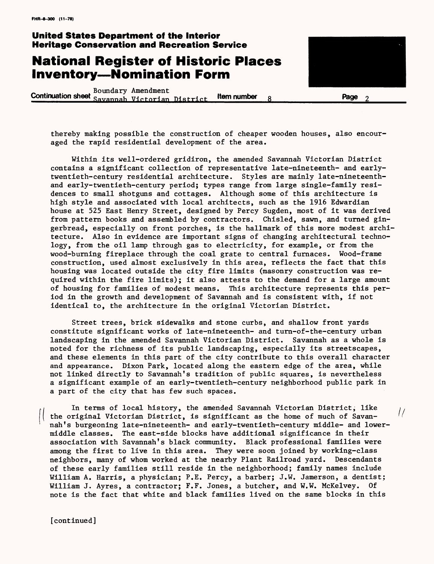## **National Register of Historic Places Inventory—Nomination Form**

Boundary Amendment<br>**Continuation sheet** Sayannah Victorian District **tem number** 8 **Page** Page



 $\frac{1}{2}$ 

thereby making possible the construction *of* cheaper wooden houses, also encouraged the rapid residential development *of* the area.

Within its well-ordered gridiron, the amended Savannah Victorian District contains a significant collection of representative late-nineteenth- and earlytwentieth-century residential architecture. Styles are mainly late-nineteenthand early-twentieth-century period; types range from large single-family residences to small shotguns and cottages. Although some of this architecture is high style and associated with local architects, such as the 1916 Edwardian house at 525 East Henry Street, designed by Percy Sugden, most of it was derived from pattern books and assembled by contractors. Chisled, sawn, and turned gingerbread, especially on front porches, is the hallmark of this more modest archi tecture. Also in evidence are important signs of changing architectural technology, from the oil lamp through gas to electricity, for example, or from the wood-burning fireplace through the coal grate to central furnaces. Wood-frame construction, used almost exclusively in this area, reflects the fact that this housing was located outside the city fire limits (masonry construction was required within the fire limits); it also attests to the demand for a large amount of housing for families of modest means. This architecture represents this period in the growth and development of Savannah and is consistent with, if not identical to, the architecture in the original Victorian District.

Street trees, brick sidewalks and stone curbs, and shallow front yards constitute significant works of late-nineteenth- and turn-of-the-century urban landscaping in the amended Savannah Victorian District. Savannah as a whole is noted for the richness of its public landscaping, especially its streetscapes, and these elements in this part of the city contribute to this overall character and appearance. Dixon Park, located along the eastern edge of the area, while not linked directly to Savannah's tradition of public squares, is nevertheless a significant example of an early-twentieth-century neighborhood public park in a part of the city that has few such spaces.

In terms of local history, the amended Savannah Victorian District, like the original Victorian District, is significant as the home of much of Savannah's burgeoning late-nineteenth- and early-twentieth-century middle- and lowermiddle classes. The east-side blocks have additional significance in their association with Savannah's black community. Black professional families were among the first to live in this area. They were soon joined by working-class neighbors, many of whom worked at the nearby Plant Railroad yard. Descendants of these early families still reside in the neighborhood; family names include William A. Harris, a physician; P.E. Percy, a barber; J.W. Jamerson, a dentist; William J. Ayres, a contractor; F.F. Jones, a butcher, and W.W. McKelvey. Of note is the fact that white and black families lived on the same blocks in this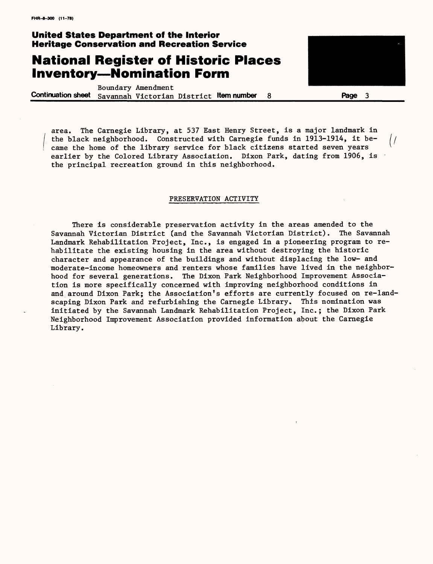## **National Register of Historic Places Inventory—Nomination Form**

Boundary Amendment **Continuation sheet** Savannah Victorian District **Item number 8 Page 3**



area. The Carnegie Library, at 537 East Henry Street, is a major landmark in the black neighborhood. Constructed with Carnegie funds in 1913-1914, it be- $\frac{1}{2}$ came the home of the library service for black citizens started seven years earlier by the Colored Library Association. Dixon Park, dating from 1906, is the principal recreation ground in this neighborhood.

#### PRESERVATION ACTIVITY

There is considerable preservation activity in the areas amended to the Savannah Victorian District (and the Savannah Victorian District). The Savannah Landmark Rehabilitation Project, Inc., is engaged in a pioneering program to rehabilitate the existing housing in the area without destroying the historic character and appearance of the buildings and without displacing the low- and moderate-income homeowners and renters whose families have lived in the neighborhood for several generations. The Dixon Park Neighborhood Improvement Association is more specifically concerned with improving neighborhood conditions in and around Dixon Park; the Association's efforts are currently focused on re-landscaping Dixon Park and refurbishing the Carnegie Library. This nomination was initiated by the Savannah Landmark Rehabilitation Project, Inc.; the Dixon Park Neighborhood Improvement Association provided information about the Carnegie Library.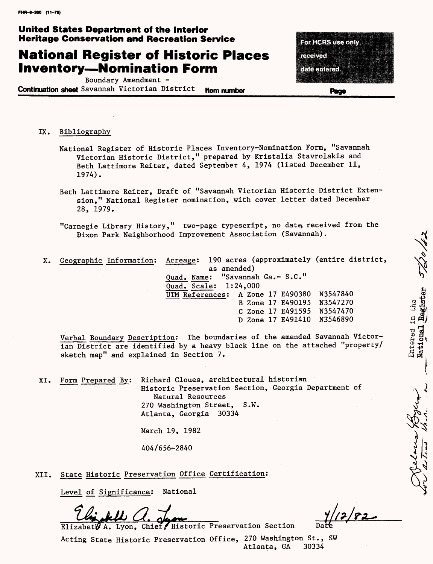# **National Register of Historic Places Inventory—Nomination Form**

Boundary Amendment -

**Continuation sheet** Savannah Victorian District **Hem number** 

For HCRS use only received date entered

Page

 $\tilde{\mathbf{v}}$ 

**NS\) \** VK>

IX. Bibliography

- National Register of Historic Places Inventory-Nomination Form, "Savannah Victorian Historic District," prepared by Kristalia Stavrolakis and Beth Lattimore Reiter, dated September 4, 1974 (listed December 11, 1974).
- Beth Lattimore Reiter, Draft of "Savannah Victorian Historic District Extension," National Register nomination, with cover letter dated December 28, 1979.
- "Carnegie Library History," two-page typescript, no date, received from the Dixon Park Neighborhood Improvement Association (Savannah). ^
- X. Geographic Information; Acreage; 190 acres (approximately (entire district, as amended) Quad. Name; "Savannah Ga.- S.C." Quad. Scale; 1;24,000 Quad. Scale: 1:24,000<br>
UTM References: A Zone 17 E490380 N3547840<br>
B Zone 17 E490195 N3547270<br>
C Zone 17 E491595 N3547470<br>
D Zone 17 E491410 N3546890<br>
On: The boundaries of the amended Savannah Victor-<br>
ed by a heavy blac B Zone 17 E490195 N3547270 § *\* C Zone* 17 E491595 N3547470 ^ jp D Zone 17 E49141Q N3546890 « *»j*

Verbal Boundary Description: The boundaries of the amended Savannah Victorian District are identified by a heavy black line on the attached "property/ sketch map" and explained in Section 7.

XI. Form Prepared By; Richard Cloues, architectural historian Historic Preservation Section, Georgia Department of Natural Resources 270 Washington Street, S.W. Atlanta, Georgia 30334

March 19, 1982

404/656-2840

XII. State Historic Preservation Office Certification;

Level of Significance; National

Elizabeth A. Lyon, Chief, Historic Preservation Section

Acting State Historic Preservation Office, 270 Washington St., SW Atlanta, GA 30334

 $12/82$